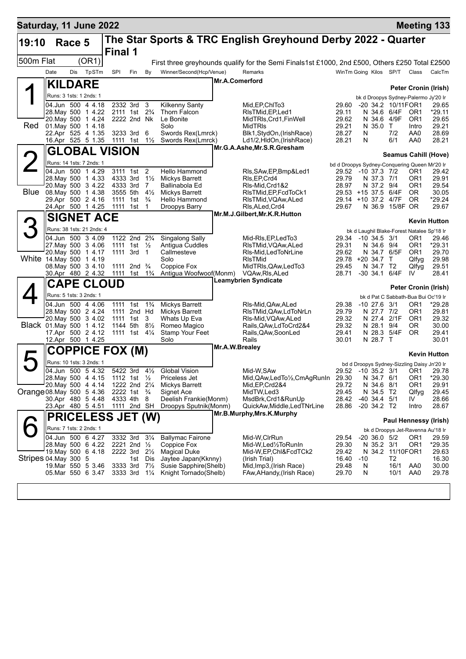| Saturday, 11 June 2022    |                         |        |                                          |                      |                                                                  |                       |                                 |                       |                                                                                                |                |                                                                     |                     |                                   | <b>Meeting 133</b>          |
|---------------------------|-------------------------|--------|------------------------------------------|----------------------|------------------------------------------------------------------|-----------------------|---------------------------------|-----------------------|------------------------------------------------------------------------------------------------|----------------|---------------------------------------------------------------------|---------------------|-----------------------------------|-----------------------------|
| 19:10                     |                         | Race 5 |                                          | Final 1              |                                                                  |                       |                                 |                       | The Star Sports & TRC English Greyhound Derby 2022 - Quarter                                   |                |                                                                     |                     |                                   |                             |
| 500m Flat                 |                         |        | (OR1)                                    |                      |                                                                  |                       |                                 |                       | First three greyhounds qualify for the Semi Finals1st £1000, 2nd £500, Others £250 Total £2500 |                |                                                                     |                     |                                   |                             |
|                           | Date                    | Dis    | TpSTm                                    | SPI                  | Fin                                                              | By                    | Winner/Second(Hcp/Venue)        |                       | Remarks                                                                                        |                | WinTm Going Kilos SP/T Class                                        |                     |                                   | CalcTm                      |
|                           | <b>KILDARE</b>          |        |                                          |                      |                                                                  |                       |                                 | <b>Mr.A.Comerford</b> |                                                                                                |                |                                                                     |                     |                                   |                             |
| ◢                         |                         |        |                                          |                      |                                                                  |                       |                                 |                       |                                                                                                |                |                                                                     |                     |                                   | <b>Peter Cronin (Irish)</b> |
|                           | Runs: 3 1sts: 1 2nds: 1 |        | 04.Jun 500 4 4.18                        |                      | 2332 3rd                                                         | - 3                   | <b>Kilkenny Santy</b>           |                       | Mid, EP, ChITo3                                                                                | 29.60          | bk d Droopys Sydney-Palermo Jy'20 Ir<br>-20 34.2 10/11FOR1          |                     |                                   | 29.65                       |
|                           |                         |        | 28. May 500 1 4.22                       |                      | 2111 1st 2 <sup>3</sup> / <sub>4</sub>                           |                       | Thorn Falcon                    |                       | RIsTMid, EP, Led 1                                                                             | 29.11          | N 34.6 6/4F                                                         |                     | OR <sub>1</sub>                   | *29.11                      |
|                           |                         |        | 20. May 500 1 4.24                       |                      | 2222 2nd Nk                                                      |                       | Le Bonite                       |                       | MidTRIs, Crd1, FinWell                                                                         | 29.62          | N 34.6 4/9F                                                         |                     | OR <sub>1</sub>                   | 29.65                       |
| Red                       | 01. May 500             |        | 1 4.18<br>22.Apr 525 4 1.35              |                      | 3233 3rd                                                         | 6                     | Solo<br>Swords Rex(Lmrck)       |                       | <b>MidTRIs</b><br>Blk1, StydOn, (IrishRace)                                                    | 29.21<br>28.27 | N 35.0<br>N                                                         | $\mathsf{T}$<br>7/2 | Intro<br>AA0                      | 29.21<br>28.69              |
|                           |                         |        | 16.Apr 525 5 1.35                        | 1111 1st             |                                                                  | $1\frac{1}{2}$        | Swords Rex(Lmrck)               |                       | Ld1/2,HldOn,(IrishRace)                                                                        | 28.21          | N                                                                   | 6/1                 | AA0                               | 28.21                       |
|                           |                         |        | <b>GLOBAL VISION</b>                     |                      |                                                                  |                       |                                 |                       | Mr.G.A.Ashe, Mr.S.R.Gresham                                                                    |                |                                                                     |                     |                                   |                             |
|                           |                         |        | Runs: 14 1sts: 7 2nds: 1                 |                      |                                                                  |                       |                                 |                       |                                                                                                |                |                                                                     |                     |                                   | <b>Seamus Cahill (Hove)</b> |
|                           |                         |        | 04.Jun 500 1 4.29                        |                      | 3111 1st                                                         | $\overline{2}$        | Hello Hammond                   |                       | RIs, SAw, EP, Bmp&Led1                                                                         |                | bd d Droopys Sydney-Conquering Queen Mr'20 Ir<br>29.52 -10 37.3 7/2 |                     | OR1                               | 29.42                       |
|                           |                         |        | 28. May 500 1 4.33                       | 4333 3rd             |                                                                  | $1\frac{1}{2}$        | Mickys Barrett                  |                       | RIs, EP, Crd4                                                                                  | 29.79          | N 37.3 7/1                                                          |                     | OR <sub>1</sub>                   | 29.91                       |
| Blue                      |                         |        | 20. May 500 3 4.22                       | 4333 3rd             |                                                                  | - 7<br>$4\frac{1}{2}$ | Ballinabola Ed                  |                       | RIs-Mid, Crd1&2<br>RIsTMid, EP, FcdToCk1                                                       | 28.97          | N 37.2 9/4                                                          | 6/4F                | OR <sub>1</sub><br>OR.            | 29.54<br>30.05              |
|                           | 08. May 500 1 4.38      |        | 29.Apr 500 2 4.16                        |                      | 3555 5th<br>1111 1st                                             | $\frac{3}{4}$         | Mickys Barrett<br>Hello Hammond |                       | RIsTMid, VQAw, ALed                                                                            |                | $29.53 + 15.37.5$<br>29.14 +10 37.2 4/7F                            |                     | OR.                               | *29.24                      |
|                           |                         |        | 24.Apr 500 1 4.25                        | 1111 1st             |                                                                  | $\mathbf 1$           | Droopys Barry                   |                       | RIs, ALed, Crd4                                                                                | 29.67          | N 36.9                                                              | 15/8F OR            |                                   | 29.67                       |
|                           |                         |        | <b>SIGNET ACE</b>                        |                      |                                                                  |                       |                                 |                       | Mr.M.J.Gilbert, Mr.K.R.Hutton                                                                  |                |                                                                     |                     |                                   | <b>Kevin Hutton</b>         |
|                           |                         |        | Runs: 38 1sts: 21 2nds: 4                |                      |                                                                  |                       |                                 |                       |                                                                                                |                | bk d Laughil Blake-Forest Natalee Sp'18 Ir                          |                     |                                   |                             |
|                           |                         |        | 04.Jun 500 3 4.09                        |                      | 1122 2nd 2 <sup>3</sup> / <sub>4</sub>                           |                       | Singalong Sally                 |                       | Mid-RIs, EP, Led To 3                                                                          | 29.34          | $-10, 34.5, 3/1$                                                    |                     | OR <sub>1</sub>                   | 29.46                       |
|                           |                         |        | 27. May 500 3 4.06                       | 1111                 | 1st $\frac{1}{2}$                                                |                       | Antigua Cuddles                 |                       | RIsTMid, VQAw, ALed                                                                            | 29.31          | N 34.6 9/4                                                          |                     | OR <sub>1</sub>                   | *29.31                      |
| White 14 May 500 1 4.19   |                         |        | 20. May 500 1 4.17                       |                      | 1111 3rd 1                                                       |                       | Callmesteve<br>Solo             |                       | RIs-Mid, Led ToNrLine<br><b>RIsTMid</b>                                                        | 29.62<br>29.78 | N 34.7 6/5F<br>+20 34.7                                             | T                   | OR <sub>1</sub><br>Qlfyg          | 29.70<br>29.98              |
|                           |                         |        | 08. May 500 3 4.10                       |                      | 1111 2nd $\frac{3}{4}$                                           |                       | Coppice Fox                     |                       | MidTRIs, QAw, LedTo3                                                                           | 29.45          | N 34.7 T2                                                           |                     | Qlfyq                             | 29.51                       |
|                           |                         |        | 30.Apr 480 2 4.32                        | 1111                 | 1st                                                              | $1\frac{3}{4}$        | Antigua Woofwoof(Monm)          |                       | VQAw, RIs, ALed                                                                                | 28.71          | -30 34.1                                                            | 6/4F                | IV                                | 28.41                       |
|                           |                         |        | <b>CAPE CLOUD</b>                        |                      |                                                                  |                       |                                 |                       | <b>Leamybrien Syndicate</b>                                                                    |                |                                                                     |                     |                                   | <b>Peter Cronin (Irish)</b> |
|                           |                         |        | Runs: 5 1sts: 3 2nds: 1                  |                      |                                                                  |                       |                                 |                       |                                                                                                |                | bk d Pat C Sabbath-Bua Bui Oc'19 Ir                                 |                     |                                   |                             |
|                           |                         |        | 04.Jun 500 4 4.06                        | 1111                 | 1st                                                              | $1\frac{3}{4}$        | <b>Mickys Barrett</b>           |                       | RIs-Mid, QAw, ALed                                                                             | 29.38          | $-10\,27.6$                                                         | 3/1                 | OR <sub>1</sub>                   | *29.28                      |
|                           |                         |        | 28. May 500 2 4.24<br>20. May 500 3 4.02 | 1111                 | 2nd Hd                                                           | 3                     | Mickys Barrett                  |                       | RIsTMid, QAw, LdToNrLn                                                                         | 29.79          | N 27.7 7/2<br>N 27.4                                                |                     | OR <sub>1</sub>                   | 29.81                       |
| Black 01. May 500 1 4.12  |                         |        |                                          | 1111 1st<br>1144 5th |                                                                  | $8\frac{1}{2}$        | Whats Up Eva<br>Romeo Magico    |                       | RIs-Mid, VQAw, ALed<br>Rails, QAw, LdToCrd2&4                                                  | 29.32<br>29.32 | N 28.1                                                              | 2/1F<br>9/4         | OR <sub>1</sub><br>0R             | 29.32<br>30.00              |
|                           |                         |        | 17.Apr 500 2 4.12                        |                      | 1111 1st $4\frac{1}{4}$                                          |                       | Stamp Your Feet                 |                       | Rails, QAw, Soon Led                                                                           | 29.41          | N 28.3                                                              | 5/4F                | <b>OR</b>                         | 29.41                       |
|                           |                         |        | 12.Apr 500 1 4.25                        |                      |                                                                  |                       | Solo                            | Mr.A.W.Brealey        | Rails                                                                                          | 30.01          | N 28.7 T                                                            |                     |                                   | 30.01                       |
|                           |                         |        | <b>COPPICE FOX (M)</b>                   |                      |                                                                  |                       |                                 |                       |                                                                                                |                |                                                                     |                     |                                   | <b>Kevin Hutton</b>         |
|                           |                         |        | Runs: 10 1sts: 3 2nds: 1                 |                      |                                                                  |                       |                                 |                       |                                                                                                |                | bd d Droopys Sydney-Sizzling Daisy Jn'20 Ir                         |                     |                                   |                             |
|                           |                         |        | 04.Jun 500 5 4.32                        | 5422 3rd 41/2        |                                                                  |                       | <b>Global Vision</b>            |                       | Mid-W,SAw                                                                                      |                | 29.52 -10 35.2 3/1 OR1 29.78                                        |                     |                                   |                             |
|                           |                         |        | 28. May 500 4 4.15<br>20. May 500 4 4.14 |                      | 1112 1st $\frac{1}{2}$<br>1222 2nd 21/4                          |                       | Priceless Jet<br>Mickys Barrett |                       | Mid, QAw, Led To 1/2, CmAg RunIn 29.30<br>Mid, EP, Crd 2&4                                     | 29.72          | N 34.7 6/1<br>N 34.6 8/1                                            |                     | OR1<br>OR1                        | *29.30<br>29.91             |
| Orange 08. May 500 5 4.36 |                         |        |                                          |                      | 2222 1st $\frac{3}{4}$                                           |                       | Signet Ace                      |                       | MidTW, Led3                                                                                    | 29.45          | N 34.5 T2                                                           |                     | Qlfyg                             | 29.45                       |
|                           |                         |        | 30.Apr 480 5 4.48                        |                      | 4333 4th                                                         | 8                     | Deelish Frankie(Monm)           |                       | MsdBrk, Crd1&RunUp                                                                             | 28.42          | $-40, 34.4, 5/1$                                                    |                     | IV.                               | 28.66                       |
|                           |                         |        | 23.Apr 480 5 4.51                        |                      | 1111 2nd SH                                                      |                       | Droopys Sputnik(Monm)           |                       | QuickAw, Middle, LedTNrLine<br>Mr.B.Murphy,Mrs.K.Murphy                                        | 28.86          | $-20, 34.2, T2$                                                     |                     | Intro                             | 28.67                       |
| <b>PRICELESS JET (W)</b>  |                         |        |                                          |                      |                                                                  |                       |                                 |                       |                                                                                                |                |                                                                     |                     |                                   | Paul Hennessy (Irish)       |
|                           | Runs: 7 1sts: 2 2nds: 1 |        |                                          |                      |                                                                  |                       |                                 |                       |                                                                                                |                |                                                                     |                     | bk d Droopys Jet-Ravenna Au'18 Ir |                             |
|                           |                         |        | 04.Jun 500 6 4.27                        |                      | 3332 3rd 31/4                                                    |                       | <b>Ballymac Fairone</b>         |                       | Mid-W,CIrRun                                                                                   | 29.54          | $-20, 36.0, 5/2$                                                    |                     | OR <sub>1</sub>                   | 29.59                       |
|                           |                         |        | 28.May 500 6 4.22<br>19. May 500 6 4.18  |                      | 2221 2nd $\frac{1}{2}$<br>2222 3rd 2 <sup>1</sup> / <sub>2</sub> |                       | Coppice Fox<br>Magical Duke     |                       | Mid-W,Led½ToRunIn<br>Mid-W, EP, Chl&FcdTCk2                                                    | 29.30<br>29.42 | N 35.2 3/1                                                          | N 34.2 11/10FOR1    | OR <sub>1</sub>                   | *29.35<br>29.63             |
| Stripes 04. May 300 5     |                         |        |                                          |                      | 1st                                                              | Dis                   | Jaytee Japan(Kknny)             |                       | (Irish Trial)                                                                                  | 16.40          | $-10$                                                               | T2                  |                                   | 16.30                       |
|                           |                         |        | 19. Mar 550 5 3.46                       | 3333 3rd             |                                                                  | $7\frac{1}{2}$        | Susie Sapphire(Shelb)           |                       | Mid, Imp3, (Irish Race)                                                                        | 29.48          | N                                                                   | 16/1                | AA0                               | 30.00                       |
|                           |                         |        | 05.Mar 550 6 3.47                        |                      | $3333$ 3rd $1\frac{1}{4}$                                        |                       | Knight Tornado (Shelb)          |                       | FAw, AHandy, (Irish Race)                                                                      | 29.70          | N                                                                   | 10/1                | AA0                               | 29.78                       |
|                           |                         |        |                                          |                      |                                                                  |                       |                                 |                       |                                                                                                |                |                                                                     |                     |                                   |                             |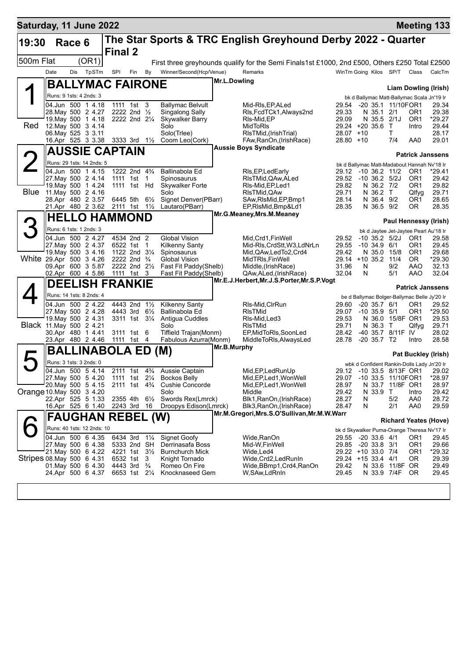| Saturday, 11 June 2022    |                                              |        |       |                          |                                         |                |                                                                     |                                                                       |                                                                                                |                                          |     |                                  |                    |                          | <b>Meeting 133</b>                                   |
|---------------------------|----------------------------------------------|--------|-------|--------------------------|-----------------------------------------|----------------|---------------------------------------------------------------------|-----------------------------------------------------------------------|------------------------------------------------------------------------------------------------|------------------------------------------|-----|----------------------------------|--------------------|--------------------------|------------------------------------------------------|
| 19:30                     |                                              | Race 6 |       | <b>Final 2</b>           |                                         |                |                                                                     |                                                                       | The Star Sports & TRC English Greyhound Derby 2022 - Quarter                                   |                                          |     |                                  |                    |                          |                                                      |
| 500m Flat                 |                                              |        | (OR1) |                          |                                         |                |                                                                     |                                                                       | First three greyhounds qualify for the Semi Finals1st £1000, 2nd £500, Others £250 Total £2500 |                                          |     |                                  |                    |                          |                                                      |
|                           | Date                                         | Dis    | TpSTm | SPI                      | Fin                                     | By             | Winner/Second(Hcp/Venue)                                            |                                                                       | Remarks                                                                                        | WinTm Going Kilos SP/T                   |     |                                  |                    | Class                    | CalcTm                                               |
|                           |                                              |        |       | <b>BALLYMAC FAIRONE</b>  |                                         |                |                                                                     | Mr.L.Dowling                                                          |                                                                                                |                                          |     |                                  |                    |                          |                                                      |
|                           |                                              |        |       |                          |                                         |                |                                                                     |                                                                       |                                                                                                |                                          |     |                                  |                    |                          | <b>Liam Dowling (Irish)</b>                          |
|                           | Runs: 9 1sts: 4 2nds: 3<br>04.Jun 500 1 4.18 |        |       |                          | 1111 1st 3                              |                | <b>Ballymac Belvult</b>                                             |                                                                       | Mid-RIs, EP, ALed                                                                              | 29.54                                    |     |                                  | -20 35.1 11/10FOR1 |                          | bk d Ballymac Matt-Ballymac Scala Jn'19 Ir<br>29.34  |
|                           | 28. May 500 2 4.27                           |        |       |                          | 2222 2nd 1/2                            |                | Singalong Sally                                                     |                                                                       | RIs, FcdTCk1, Always2nd                                                                        | 29.33                                    |     | N 35.1 2/1                       |                    | OR1                      | 29.38                                                |
| Red                       | 19 May 500 1 4.18<br>12. May 500 3 4.14      |        |       |                          | 2222 2nd 21/4                           |                | <b>Skywalker Barry</b>                                              |                                                                       | RIs-Mid, EP                                                                                    | 29.09                                    |     | N 35.5 2/1J                      |                    | OR <sub>1</sub><br>Intro | *29.27                                               |
|                           | 06. May 525 3 3.11                           |        |       |                          |                                         |                | Solo<br>Solo(Trlee)                                                 |                                                                       | MidToRIs<br>RIsTMid, (IrishTrial)                                                              | 29.24 +20 35.6 T<br>28.07                | +10 |                                  | т                  |                          | 29.44<br>28.17                                       |
|                           | 16.Apr 525 3 3.38                            |        |       |                          | 3333 3rd 1½                             |                | Coom Leo(Cork)                                                      |                                                                       | FAw, RanOn, (Irish Race)                                                                       | $28.80 + 10$                             |     |                                  | 7/4                | AA0                      | 29.01                                                |
|                           |                                              |        |       | <b>AUSSIE CAPTAIN</b>    |                                         |                |                                                                     |                                                                       | <b>Aussie Boys Syndicate</b>                                                                   |                                          |     |                                  |                    |                          | <b>Patrick Janssens</b>                              |
| $\overline{2}$            | Runs: 29 1sts: 14 2nds: 5                    |        |       |                          |                                         |                |                                                                     |                                                                       |                                                                                                |                                          |     |                                  |                    |                          | bk d Ballymac Matt-Madabout Hannah Nv'18 Ir          |
|                           | 04.Jun 500 1 4.15                            |        |       |                          | 1222 2nd 4 <sup>3</sup> / <sub>4</sub>  |                | Ballinabola Ed                                                      |                                                                       | RIs, EP, Led Early                                                                             | 29.12 -10 36.2 11/2                      |     |                                  |                    | OR <sub>1</sub>          | *29.41                                               |
|                           | 27 May 500 2 4.14<br>19. May 500 1 4.24      |        |       |                          | 1111 1st 1<br>1111 1st Hd               |                | Spinosaurus<br><b>Skywalker Forte</b>                               |                                                                       | RIsTMid, QAw, ALed<br>RIs-Mid, EP, Led1                                                        | 29.52<br>29.82                           |     | $-10$ 36.2 $5/2$ J<br>N 36.2 7/2 |                    | OR <sub>1</sub><br>OR1   | 29.42<br>29.82                                       |
| <b>Blue</b>               | 11.May 500 2 4.16                            |        |       |                          |                                         |                | Solo                                                                |                                                                       | RIsTMid, QAw                                                                                   | 29.71                                    |     | N 36.2 T                         |                    | Qlfyg                    | 29.71                                                |
|                           | 28.Apr 480 2 3.57<br>21.Apr 480 2 3.62       |        |       |                          | 6445 5th<br>2111 1st 11/2               | $6\frac{1}{2}$ | Signet Denver(PBarr)<br>Lautaro(PBarr)                              |                                                                       | SAw, RIsMid, EP, Bmp1<br>EP, RIsMid, Bmp&Ld1                                                   | 28.14<br>28.35                           |     | N 36.4 9/2<br>N 36.5 9/2         |                    | OR1<br>0R                | 28.65<br>28.35                                       |
|                           |                                              |        |       |                          |                                         |                |                                                                     |                                                                       | Mr.G.Meaney, Mrs.M.Meaney                                                                      |                                          |     |                                  |                    |                          |                                                      |
| 3                         |                                              |        |       | <b>HELLO HAMMOND</b>     |                                         |                |                                                                     |                                                                       |                                                                                                |                                          |     |                                  |                    |                          | Paul Hennessy (Irish)                                |
|                           | Runs: 6 1sts: 1 2nds: 3                      |        |       |                          |                                         |                |                                                                     |                                                                       |                                                                                                |                                          |     |                                  |                    |                          | bk d Jaytee Jet-Jaytee Pearl Au'18 Ir                |
|                           | 04.Jun 500 2 4.27<br>27. May 500 2 4.37      |        |       |                          | 4534 2nd 2<br>6522 1st                  | $\mathbf{1}$   | <b>Global Vision</b><br><b>Kilkenny Santy</b>                       |                                                                       | Mid, Crd1, FinWell<br>Mid-RIs, CrdStt, W3, LdNrLn                                              | 29.52<br>29.55                           |     | $-10, 34.9, 6/1$                 | $-10$ 35.2 $5/2$ J | OR <sub>1</sub><br>OR1   | 29.58<br>29.45                                       |
|                           | 19 May 500 3 4.16                            |        |       |                          | 1122 2nd 31/4                           |                | Spinosaurus                                                         |                                                                       | Mid, QAw, Led To 2, Crd4                                                                       | 29.42                                    |     | N 35.0 15/8                      |                    | OR <sub>1</sub>          | 29.68                                                |
| White 29.Apr 500 3 4.26   | 09.Apr 600 3 5.87                            |        |       |                          | 2222 2nd $\frac{3}{4}$<br>2222 2nd 21/2 |                | Global Vision<br>Fast Fit Paddy(Shelb)                              |                                                                       | MidTRIs, FinWell<br>Middle,(IrishRace)                                                         | $29.14 + 1035.2$<br>31.96                | N   |                                  | 11/4<br>9/2        | OR.<br>AAO               | *29.30<br>32.13                                      |
|                           | 02.Apr 600 4 5.86                            |        |       |                          | 1111 1st 3                              |                | Fast Fit Paddy(Shelb)                                               |                                                                       | QAw,ALed,(IrishRace)                                                                           | 32.04                                    | N   |                                  | 5/1                | AAO                      | 32.04                                                |
|                           |                                              |        |       | <b>DEELISH FRANKIE</b>   |                                         |                |                                                                     | Mr.E.J.Herbert, Mr.J.S.Porter, Mr.S.P.Vogt<br><b>Patrick Janssens</b> |                                                                                                |                                          |     |                                  |                    |                          |                                                      |
|                           | Runs: 14 1sts: 8 2nds: 4                     |        |       |                          |                                         |                |                                                                     |                                                                       |                                                                                                |                                          |     |                                  |                    |                          | be d Ballymac Bolger-Ballymac Belle Jy'20 Ir         |
|                           | 04.Jun 500 2 4.22                            |        |       |                          | 4443 2nd 11/2                           |                | <b>Kilkenny Santy</b>                                               |                                                                       | RIs-Mid, CIrRun                                                                                | 29.60                                    |     | $-20$ 35.7 $6/1$                 |                    | OR1                      | 29.52                                                |
|                           | 27. May 500 2 4.28<br>19. May 500 2 4.31     |        |       |                          | 4443 3rd<br>3311 1st 31/4               | $6\frac{1}{2}$ | Ballinabola Ed<br>Antigua Cuddles                                   |                                                                       | <b>RIsTMid</b><br>Rls-Mid, Led3                                                                | 29.07<br>29.53                           |     | $-10, 35.9, 5/1$                 | N 36.0 15/8F OR1   | OR1                      | *29.50<br>29.53                                      |
| Black 11. May 500 2 4.21  |                                              |        |       |                          |                                         |                | Solo                                                                |                                                                       | <b>RIsTMid</b>                                                                                 | 29.71                                    |     | N 36.3 T                         |                    | Qlfyg                    | 29.71                                                |
|                           | 30.Apr 480 1 4.41                            |        |       |                          | 3111 1st 6                              |                | Tiffield Trajan(Monm)                                               |                                                                       | EP, MidToRIs, SoonLed                                                                          | 28.42                                    |     |                                  | -40 35.7 8/11F IV  |                          | 28.02                                                |
|                           | 23.Apr 480 2 4.46                            |        |       |                          | 1111 1st 4                              |                | Fabulous Azurra(Monm)                                               | Mr.B.Murphy                                                           | MiddleToRIs, AlwaysLed                                                                         | 28.78                                    |     | $-20, 35.7, T2$                  |                    | Intro                    | 28.58                                                |
| $\blacktriangleright$     |                                              |        |       | <b>BALLINABOLA ED</b>    |                                         |                | (M)                                                                 |                                                                       |                                                                                                |                                          |     |                                  |                    |                          | <b>Pat Buckley (Irish)</b>                           |
|                           | Runs: 3 1sts: 3 2nds: 0                      |        |       |                          |                                         |                |                                                                     |                                                                       |                                                                                                |                                          |     |                                  |                    |                          | wbk d Confident Rankin-Dolls Lady Jn'20 Ir           |
|                           | 04.Jun 500 5 4.14<br>27. May 500 5 4.20      |        |       |                          | 2111 1st<br>1111 1st 21/ <sub>4</sub>   |                | 4 <sup>3</sup> / <sub>4</sub> Aussie Captain<br><b>Bockos Belly</b> |                                                                       | Mid.EP.LedRunUp<br>Mid, EP, Led 1, Won Well                                                    | 29.07                                    |     |                                  | -10 33.5 11/10FOR1 |                          | 29.12 -10 33.5 8/13F OR1 29.02<br>$*28.97$           |
|                           | 20. May 500 5 4.15                           |        |       |                          | 2111 1st 4 <sup>3</sup> / <sub>4</sub>  |                | <b>Cushie Concorde</b>                                              |                                                                       | Mid, EP, Led 1, Won Well                                                                       | 28.97                                    |     |                                  | N 33.7 11/8F OR1   |                          | 28.97                                                |
| Orange 10. May 500 3 4.20 | 22.Apr 525 5 1.33                            |        |       |                          | 2355 4th                                | $6\frac{1}{2}$ | Solo<br>Swords Rex(Lmrck)                                           |                                                                       | Middle<br>Blk1, RanOn, (Irish Race)                                                            | 29.42<br>28.27                           | N   | N 33.9                           | $\top$<br>5/2      | Intro<br>AA0             | 29.42<br>28.72                                       |
|                           | 16.Apr 525 6 1.40                            |        |       |                          | 2243 3rd 16                             |                | Droopys Edison(Lmrck)                                               |                                                                       | Blk3, RanOn, (Irish Race)                                                                      | 28.47                                    | N   |                                  | 2/1                | AA0                      | 29.59                                                |
|                           |                                              |        |       | <b>FAUGHAN REBEL (W)</b> |                                         |                |                                                                     |                                                                       | Mr.M.Gregori, Mrs.S.O'Sullivan, Mr.M.W.Warr                                                    |                                          |     |                                  |                    |                          |                                                      |
|                           | Runs: 40 1sts: 12 2nds: 10                   |        |       |                          |                                         |                |                                                                     |                                                                       |                                                                                                |                                          |     |                                  |                    |                          | <b>Richard Yeates (Hove)</b>                         |
|                           | 04.Jun 500 6 4.35                            |        |       |                          | 6434 3rd                                | $1\frac{1}{4}$ | Signet Goofy                                                        |                                                                       | Wide,RanOn                                                                                     | 29.55                                    |     | -20 33.6 4/1                     |                    | OR1                      | bk d Skywalker Puma-Orange Theresa Nv'17 Ir<br>29.45 |
|                           | 27. May 500 6 4.38                           |        |       |                          | 5333 2nd SH                             |                | Derrinasafa Boss                                                    |                                                                       | Mid-W,FinWell                                                                                  | 29.85                                    |     | $-2033.83/1$                     |                    | OR <sub>1</sub>          | 29.66                                                |
| Stripes 08 May 500 6 4.31 | 21. May 500 6 4.22                           |        |       |                          | 4221 1st 31/2<br>6532 1st               | 3              | <b>Burnchurch Mick</b><br>Knight Tornado                            |                                                                       | Wide,Led4<br>Wide, Crd2, Led Run In                                                            | 29.22 +10 33.0 7/4<br>29.24 +15 33.4 4/1 |     |                                  |                    | OR <sub>1</sub><br>0R    | *29.32<br>29.39                                      |
|                           | 01.May 500 6 4.30                            |        |       |                          | 4443 3rd                                | $\frac{3}{4}$  | Romeo On Fire                                                       |                                                                       | Wide,BBmp1,Crd4,RanOn                                                                          | 29.42                                    |     |                                  | N 33.6 11/8F OR    |                          | 29.49                                                |
|                           | 24.Apr 500 6 4.37                            |        |       |                          | 6653 1st 21/4                           |                | Knocknaseed Gem                                                     |                                                                       | W,SAw,LdRnIn                                                                                   | 29.45                                    |     |                                  | N 33.9 7/4F        | OR.                      | 29.45                                                |
|                           |                                              |        |       |                          |                                         |                |                                                                     |                                                                       |                                                                                                |                                          |     |                                  |                    |                          |                                                      |
|                           |                                              |        |       |                          |                                         |                |                                                                     |                                                                       |                                                                                                |                                          |     |                                  |                    |                          |                                                      |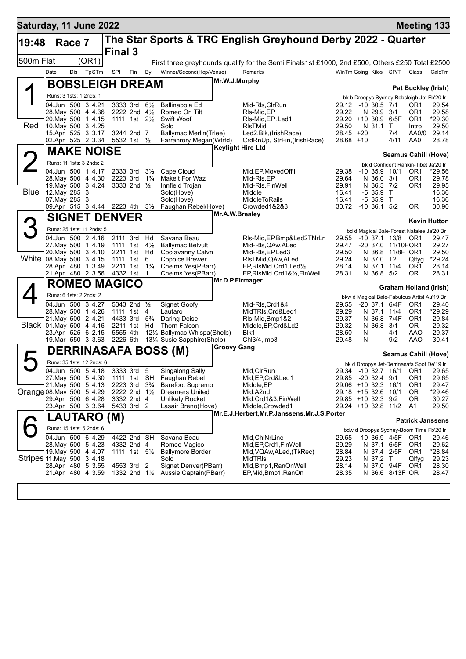| Saturday, 11 June 2022     |                                          |        |                           |                        |                                            |                                  |                                                               |                                           |                                                                                                |                                           |              |                          |                    | <b>Meeting 133</b>                                           |                                        |
|----------------------------|------------------------------------------|--------|---------------------------|------------------------|--------------------------------------------|----------------------------------|---------------------------------------------------------------|-------------------------------------------|------------------------------------------------------------------------------------------------|-------------------------------------------|--------------|--------------------------|--------------------|--------------------------------------------------------------|----------------------------------------|
| 19:48                      |                                          | Race 7 |                           |                        |                                            |                                  |                                                               |                                           | The Star Sports & TRC English Greyhound Derby 2022 - Quarter                                   |                                           |              |                          |                    |                                                              |                                        |
|                            |                                          |        |                           | <b>Final 3</b>         |                                            |                                  |                                                               |                                           |                                                                                                |                                           |              |                          |                    |                                                              |                                        |
| 500m Flat                  |                                          |        | (OR1)                     |                        |                                            |                                  |                                                               |                                           | First three greyhounds qualify for the Semi Finals1st £1000, 2nd £500, Others £250 Total £2500 |                                           |              |                          |                    |                                                              |                                        |
|                            | Date                                     | Dis    | TpSTm                     | SPI                    | Fin                                        | By                               | Winner/Second(Hcp/Venue)                                      |                                           | Remarks                                                                                        | WinTm Going Kilos SP/T                    |              |                          |                    | Class                                                        | CalcTm                                 |
|                            |                                          |        |                           | <b>BOBSLEIGH DREAM</b> |                                            |                                  |                                                               | Mr.W.J.Murphy                             |                                                                                                |                                           |              |                          |                    | <b>Pat Buckley (Irish)</b>                                   |                                        |
|                            | Runs: 3 1sts: 1 2nds: 1                  |        |                           |                        |                                            |                                  |                                                               |                                           |                                                                                                |                                           |              |                          |                    | bk b Droopys Sydney-Bobsleigh Jet Fb'20 Ir                   |                                        |
|                            | 04.Jun 500 3 4.21                        |        |                           |                        | 3333 3rd                                   | $6\frac{1}{2}$                   | Ballinabola Ed                                                |                                           | Mid-RIs, CIrRun                                                                                | 29.12                                     | -10 30.5 7/1 |                          |                    | OR1                                                          | 29.54                                  |
|                            | 28. May 500 4 4.36<br>20. May 500 1 4.15 |        |                           |                        | 2222 2nd 41/2<br>1111 1st 21/ <sub>2</sub> |                                  | Romeo On Tilt<br>Swift Woof                                   |                                           | RIs-Mid.EP<br>RIs-Mid, EP, Led1                                                                | 29.22<br>29.20 +10 30.9                   |              | N 29.9 3/1               | 6/5F               | OR1<br>OR <sub>1</sub>                                       | 29.58<br>*29.30                        |
| Red                        | 10. May 500 3 4.25                       |        |                           |                        |                                            |                                  | Solo                                                          |                                           | <b>RIsTMid</b>                                                                                 | 29.50                                     |              | N 31.1                   | T.                 | Intro                                                        | 29.50                                  |
|                            | 15.Apr 525 3 3.17                        |        |                           |                        | 3244 2nd 7                                 |                                  | Ballymac Merlin(Trlee)                                        |                                           | Led2, Blk, (Irish Race)                                                                        | $28.45 + 20$                              |              |                          | 7/4                | AA0/0                                                        | 29.14                                  |
|                            | 02.Apr 525 2 3.34                        |        |                           |                        | 5532 1st 1/2                               |                                  | Farranrory Megan(Wtrfd)                                       |                                           | CrdRnUp, StrFin, (IrishRace)<br><b>Keylight Hire Ltd</b>                                       | 28.68 +10                                 |              |                          | 4/11               | AA0                                                          | 28.78                                  |
|                            |                                          |        | <b>MAKE NOISE</b>         |                        |                                            |                                  |                                                               |                                           |                                                                                                |                                           |              |                          |                    | Seamus Cahill (Hove)                                         |                                        |
|                            |                                          |        | Runs: 11 1sts: 3 2nds: 2  |                        |                                            |                                  |                                                               |                                           |                                                                                                |                                           |              |                          |                    | bk d Confident Rankin-Tibet Ja'20 Ir                         |                                        |
|                            | 04.Jun 500 1 4.17<br>28. May 500 4 4.30  |        |                           |                        | 2333 3rd<br>2223 3rd                       | $3\frac{1}{2}$<br>$1\frac{3}{4}$ | Cape Cloud<br>Makeit For Waz                                  |                                           | Mid, EP, Moved Off1<br>Mid-RIs, EP                                                             | 29.38<br>29.64                            |              | N 36.0 3/1               | $-10, 35.9, 10/1$  | OR1<br>OR1                                                   | *29.56<br>29.78                        |
|                            | 19. May 500 3 4.24                       |        |                           |                        | 3333 2nd $\frac{1}{2}$                     |                                  | Innfield Trojan                                               |                                           | Mid-RIs, FinWell                                                                               | 29.91                                     |              | N 36.3 7/2               |                    | OR1                                                          | 29.95                                  |
| Blue                       | 12.May 285 3<br>07. May 285 3            |        |                           |                        |                                            |                                  | Solo(Hove)<br>Solo(Hove)                                      |                                           | Middle<br>MiddleToRails                                                                        | 16.41<br>16.41                            |              | $-5, 35.9$<br>$-535.9$ T | $\top$             |                                                              | 16.36<br>16.36                         |
|                            | 09.Apr 515 3 4.44 2223 4th 31/2          |        |                           |                        |                                            |                                  | Faughan Rebel(Hove)                                           |                                           | Crowded1&2&3                                                                                   | 30.72                                     |              | $-10, 36.1, 5/2$         |                    | 0R                                                           | 30.90                                  |
|                            |                                          |        |                           | <b>SIGNET DENVER</b>   |                                            |                                  |                                                               | Mr.A.W.Brealey                            |                                                                                                |                                           |              |                          |                    |                                                              |                                        |
|                            |                                          |        | Runs: 25 1sts: 11 2nds: 5 |                        |                                            |                                  |                                                               |                                           |                                                                                                |                                           |              |                          |                    |                                                              | <b>Kevin Hutton</b>                    |
|                            | 04.Jun 500 2 4.16                        |        |                           |                        | 2111 3rd                                   | Hd                               | Savana Beau                                                   |                                           | RIs-Mid, EP, Bmp& Led 2TNrLn                                                                   | 29.55                                     |              |                          | $-10$ 37.1 $13/8$  | bd d Magical Bale-Forest Natalee Ja'20 Br<br>OR <sub>1</sub> | 29.47                                  |
|                            | 27 May 500 1 4.19                        |        |                           |                        | 1111 1st                                   | $4\frac{1}{2}$                   | <b>Ballymac Belvult</b>                                       |                                           | Mid-RIs, QAw, ALed                                                                             | 29.47                                     |              |                          | -20 37.0 11/10FOR1 |                                                              | 29.27                                  |
| White 08.May 500 3 4.15    | 20. May 500 3 4.10                       |        |                           |                        | 2211 1st<br>1111 1st                       | Hd                               | Coolavanny Calvn                                              |                                           | Mid-RIs, EP, Led 3                                                                             | 29.50<br>29.24                            |              | N 36.8                   | 11/8F OR1          |                                                              | 29.50                                  |
|                            | 28.Apr 480 1 3.49                        |        |                           |                        | 2211 1st                                   | 6<br>$1\frac{3}{4}$              | <b>Coppice Brewer</b><br>Chelms Yes(PBarr)                    |                                           | RIsTMid, QAw, ALed<br>EP, RIsMid, Crd1, Led <sup>1</sup> / <sub>2</sub>                        | 28.14                                     |              | N 37.0 T2                | N 37.1 11/4        | Qlfyg<br>OR <sub>1</sub>                                     | *29.24<br>28.14                        |
|                            | 21.Apr 480 2 3.56                        |        |                           |                        | 4332 1st                                   | $\mathbf 1$                      | Chelms Yes(PBarr)                                             |                                           | EP, RIsMid, Crd1&1/4, FinWell                                                                  | 28.31                                     |              | N 36.8 5/2               |                    | 0R                                                           | 28.31                                  |
|                            |                                          |        |                           | <b>ROMEO MAGICO</b>    |                                            |                                  |                                                               | Mr.D.P.Firmager<br>Graham Holland (Irish) |                                                                                                |                                           |              |                          |                    |                                                              |                                        |
|                            | Runs: 6 1sts: 2 2nds: 2                  |        |                           |                        |                                            |                                  |                                                               |                                           |                                                                                                |                                           |              |                          |                    | bkw d Magical Bale-Fabulous Artist Au'19 Br                  |                                        |
|                            | 04.Jun 500 3 4.27                        |        |                           |                        | 5343 2nd 1/2                               |                                  | <b>Signet Goofy</b>                                           |                                           | Mid-Ris, Crd1&4                                                                                | 29.55                                     |              | $-20\,37.1$              | 6/4F               | OR <sub>1</sub>                                              | 29.40                                  |
|                            | 28. May 500 1 4.26<br>21. May 500 2 4.21 |        |                           |                        | 1111 1st<br>4433 3rd                       | 4<br>$5\frac{3}{4}$              | Lautaro<br>Daring Deise                                       |                                           | MidTRIs, Crd&Led1<br>RIs-Mid, Bmp1&2                                                           | 29.29<br>29.37                            |              | N 37.1<br>N 36.8         | 11/4<br>7/4F       | OR <sub>1</sub><br>OR <sub>1</sub>                           | *29.29<br>29.84                        |
| Black 01. May 500 4 4.16   |                                          |        |                           |                        | 2211 1st                                   | Hd                               | Thorn Falcon                                                  |                                           | Middle, EP, Crd&Ld2                                                                            | 29.32                                     |              | N 36.8 3/1               |                    | OR.                                                          | 29.32                                  |
|                            | 23.Apr 525 6 2.15                        |        |                           | 5555 4th               |                                            |                                  | 121/2 Ballymac Whispa(Shelb)                                  |                                           | Blk1                                                                                           | 28.50                                     | N            |                          | 4/1                | AAO                                                          | 29.37                                  |
|                            | 19. Mar 550 3 3.63                       |        |                           |                        | 2226 6th                                   |                                  | 131⁄4 Susie Sapphire(Shelb)                                   | <b>Groovy Gang</b>                        | Chl3/4, Imp3                                                                                   | 29.48                                     | N            |                          | 9/2                | AAO                                                          | 30.41                                  |
|                            |                                          |        |                           |                        |                                            |                                  | <b>DERRINASAFA BOSS (M)</b>                                   |                                           |                                                                                                |                                           |              |                          |                    | Seamus Cahill (Hove)                                         |                                        |
|                            |                                          |        | Runs: 35 1sts: 12 2nds: 6 |                        |                                            |                                  |                                                               |                                           |                                                                                                |                                           |              |                          |                    | bk d Droopys Jet-Derrinasafa Spot De'19 Ir                   |                                        |
|                            | 04.Jun 500 5 4.18<br>27. May 500 5 4.30  |        |                           |                        | 3333 3rd 5<br>1111 1st SH                  |                                  | <b>Singalong Sally</b><br>Faughan Rebel                       |                                           | Mid, CIrRun<br>Mid, EP, Crd&Led1                                                               | 29.85 -20 32.4 9/1                        |              |                          |                    | OR1                                                          | 29.34 -10 32.7 16/1 OR1 29.65<br>29.65 |
|                            | 21 May 500 5 4.13                        |        |                           |                        | 2223 3rd 3 <sup>3</sup> / <sub>4</sub>     |                                  | <b>Barefoot Supremo</b>                                       |                                           | Middle,EP                                                                                      | 29.06 +10 32.3 16/1                       |              |                          |                    | OR <sub>1</sub>                                              | 29.47                                  |
| Orange 08. May 500 5 4.29  |                                          |        |                           |                        | 2222 2nd 1 <sup>1</sup> / <sub>2</sub>     |                                  | <b>Dreamers United</b>                                        |                                           | Mid, A2nd                                                                                      | 29.18 +15 32.6 10/1                       |              |                          |                    | 0R                                                           | *29.46                                 |
|                            | 29.Apr 500 6 4.28<br>23.Apr 500 3 3.64   |        |                           |                        | 3332 2nd 4<br>5433 3rd 2                   |                                  | Unlikely Rocket<br>Lasair Breno(Hove)                         |                                           | Mid,Crd1&3,FinWell<br>Middle, Crowded 1                                                        | 29.85 +10 32.3 9/2<br>29.24 +10 32.8 11/2 |              |                          |                    | ΟR<br>A1                                                     | 30.27<br>29.50                         |
|                            |                                          |        | LAUTARO                   | (M)                    |                                            |                                  |                                                               |                                           | Mr.E.J.Herbert, Mr.P.Janssens, Mr.J.S.Porter                                                   |                                           |              |                          |                    |                                                              |                                        |
|                            |                                          |        |                           |                        |                                            |                                  |                                                               |                                           |                                                                                                |                                           |              |                          |                    | <b>Patrick Janssens</b>                                      |                                        |
|                            | 04.Jun 500 6 4.29                        |        | Runs: 15 1sts: 5 2nds: 6  |                        | 4422 2nd SH                                |                                  | Savana Beau                                                   |                                           | Mid, ChINrLine                                                                                 | 29.55                                     |              |                          | -10 36.9 4/5F      | bdw d Droopys Sydney-Boom Time Fb'20 Ir<br>OR1               |                                        |
|                            | 28. May 500 5 4.23                       |        |                           |                        | 4332 2nd 4                                 |                                  | Romeo Magico                                                  |                                           | Mid, EP, Crd1, Fin Well                                                                        | 29.29                                     |              |                          | N 37.1 6/5F        | OR <sub>1</sub>                                              | 29.46<br>29.62                         |
|                            | 19. May 500 4 4.07                       |        |                           |                        | 1111 1st $5\frac{1}{2}$                    |                                  | <b>Ballymore Border</b>                                       |                                           | Mid, VQAw, ALed, (TkRec)                                                                       | 28.84                                     |              |                          | N 37.4 2/5F        | OR <sub>1</sub>                                              | *28.84                                 |
| Stripes 11. May 500 3 4.18 | 28.Apr 480 5 3.55                        |        |                           |                        | 4553 3rd 2                                 |                                  | Solo<br>Signet Denver(PBarr)                                  |                                           | MidTRIs<br>Mid, Bmp1, RanOnWell                                                                | 29.23<br>28.14                            |              | N 37.2 T                 | N 37.0 9/4F        | Qlfyg<br>OR <sub>1</sub>                                     | 29.23<br>28.30                         |
|                            | 21.Apr 480 4 3.59                        |        |                           |                        |                                            |                                  | 1332 2nd 1 <sup>1</sup> / <sub>2</sub> Aussie Captain (PBarr) |                                           | EP, Mid, Bmp1, RanOn                                                                           | 28.35                                     |              |                          | N 36.6 8/13F OR    |                                                              | 28.47                                  |
|                            |                                          |        |                           |                        |                                            |                                  |                                                               |                                           |                                                                                                |                                           |              |                          |                    |                                                              |                                        |
|                            |                                          |        |                           |                        |                                            |                                  |                                                               |                                           |                                                                                                |                                           |              |                          |                    |                                                              |                                        |